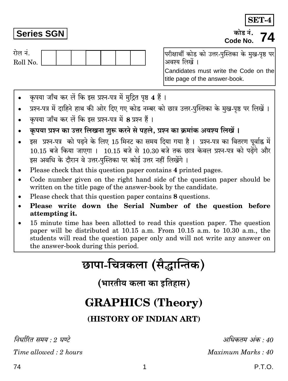**Series SGN** Roll No.

रोल नं.

परीक्षार्थी कोड को उत्तर-पस्तिका के मख-पष्ठ पर अवश्य लिखें ।

Candidates must write the Code on the title page of the answer-book.

- कपया जाँच कर लें कि इस प्रश्न-पत्र में मुद्रित पृष्ठ 4 हैं।
- प्रश्न-पत्र में दाहिने हाथ की ओर दिए गए कोड नम्बर को छात्र उत्तर-पुस्तिका के मुख-पृष्ठ पर लिखें ।
- कृपया जाँच कर लें कि इस प्रश्न-पत्र में 8 प्रश्न हैं।
- कपया प्रश्न का उत्तर लिखना शुरू करने से पहले. प्रश्न का क्रमांक अवश्य लिखें ।
- इस प्रश्न-पत्र को पढने के लिए 15 मिनट का समय दिया गया है। प्रश्न-पत्र का वितरण पूर्वाह्न में  $10.15$  बजे किया जाएगा ।  $10.15$  बजे से  $10.30$  बजे तक छात्र केवल प्रश्न-पत्र को पढेंगे और इस अवधि के दौरान वे उत्तर-पुस्तिका पर कोई उत्तर नहीं लिखेंगे।
- Please check that this question paper contains 4 printed pages.
- Code number given on the right hand side of the question paper should be written on the title page of the answer-book by the candidate.
- Please check that this question paper contains 8 questions.
- Please write down the Serial Number of the question before attempting it.
- 15 minute time has been allotted to read this question paper. The question paper will be distributed at 10.15 a.m. From 10.15 a.m. to 10.30 a.m., the students will read the question paper only and will not write any answer on the answer-book during this period.

छापा-चित्रकला (सैद्धान्तिक)

(भारतीय कला का इतिहास)

# **GRAPHICS (Theory)**

(HISTORY OF INDIAN ART)

1

निर्धारित ममय  $\cdot$  १ घण्टे

Time allowed  $: 2 \text{ hours}$ 

अधिकतम् अंक $\cdot$ 40

Maximum Marks: 40

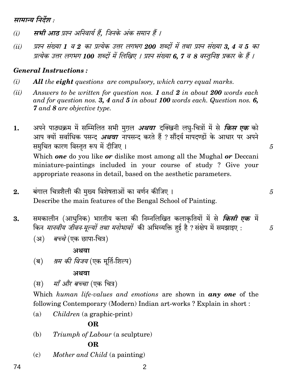सामान्य निर्देश :

- सभी आठ प्रश्न अनिवार्य हैं. जिनके अंक समान हैं ।  $(i)$
- प्रश्न संख्या 1 व 2 का प्रत्येक उत्तर लगभग 200 शब्दों में तथा प्रश्न संख्या 3, 4 व 5 का  $(ii)$ प्रत्येक उत्तर लगभग 100 शब्दों में लिखिए । प्रश्न संख्या 6, 7 व 8 वस्तुनिष्ठ प्रकार के हैं ।

# **General Instructions:**

- $(i)$ **All** the **eight** questions are compulsory, which carry equal marks.
- $(ii)$ Answers to be written for question nos. 1 and 2 in about 200 words each and for question nos. 3, 4 and 5 in about 100 words each. Question nos. 6, **7** and 8 are objective type.
- अपने पाठ्यक्रम में सम्मिलित सभी मृगल *अथवा* दक्खिनी लघु-चित्रों में से *किस एक* को 1. आप क्यों सर्वाधिक पसन्द *अथवा* नापसन्द करते हैं ? सौंदर्य मापदण्डों के आधार पर अपने समुचित कारण विस्तुत रूप में दीजिए । Which **one** do you like **or** dislike most among all the Mughal **or** Deccani miniature-paintings included in your course of study? Give your appropriate reasons in detail, based on the aesthetic parameters.

5

5

 $\overline{5}$ 

- बंगाल चित्रशैली की मुख्य विशेषताओं का वर्णन कीजिए ।  $\overline{2}$ . Describe the main features of the Bengal School of Painting.
- समकालीन (आधुनिक) भारतीय कला की निम्नलिखित कलाकृतियों में से *किसी एक* में 3. किन *मानवीय जीवन मूल्यों तथा मनोभावों* की अभिव्यक्ति हुई है ? संक्षेप में समझाइए :
	- (अ) *बच्चे* (एक छापा-चित्र)

## अथवा

*श्रम की विजय* (एक मूर्ति-शिल्प) (ब)

अथवा

*माँ और बच्चा* (एक चित्र)  $(\overline{H})$ 

Which human life-values and emotions are shown in any one of the following Contemporary (Modern) Indian art-works? Explain in short:

*Children* (a graphic-print)  $(a)$ 

# OR.

Triumph of Labour (a sculpture) (b)

# OR.

Mother and Child (a painting)  $(c)$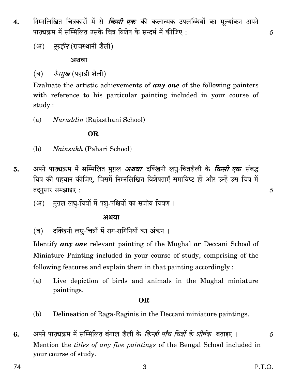- निम्नलिखित चित्रकारों में से *किसी एक* की कलात्मक उपलब्धियों का मूल्यांकन अपने 4. पाठ्यक्रम में सम्मिलित उसके चित्र विशेष के सन्दर्भ में कीजिए :
	- (अ) *नुरुद्दीन* (राजस्थानी शैली)

#### अथवा

*नैनसख* (पहाडी शैली)  $(\overline{\mathbf{g}})$ 

Evaluate the artistic achievements of **any one** of the following painters with reference to his particular painting included in your course of study:

Nuruddin (Rajasthani School)  $(a)$ 

### **OR**

- (b) *Nainsukh* (Pahari School)
- अपने पाठ्यक्रम में सम्मिलित मुग़ल *अथवा* दक्खिनी लघु-चित्रशैली के *किसी एक* संबद्ध 5. चित्र की पहचान कीजिए, जिसमें निम्नलिखित विशेषताएँ समाविष्ट हों और उन्हें उस चित्र में तदनसार समझाइए:
	- मग़ल लघु-चित्रों में पशु-पक्षियों का सजीव चित्रण । (अ)

#### अथवा

दक्खिनी लघु-चित्रों में राग-रागिनियों का अंकन । (ब)

Identify any one relevant painting of the Mughal or Deccani School of Miniature Painting included in your course of study, comprising of the following features and explain them in that painting accordingly:

Live depiction of birds and animals in the Mughal miniature (a) paintings.

#### OR.

- Delineation of Raga-Raginis in the Deccani miniature paintings. (b)
- अपने पाठ्यक्रम में सम्मिलित बंगाल शैली के *किन्हीं पाँच चित्रों के शीर्षक* बताइए । 6. Mention the *titles of any five paintings* of the Bengal School included in your course of study.

5

5

5